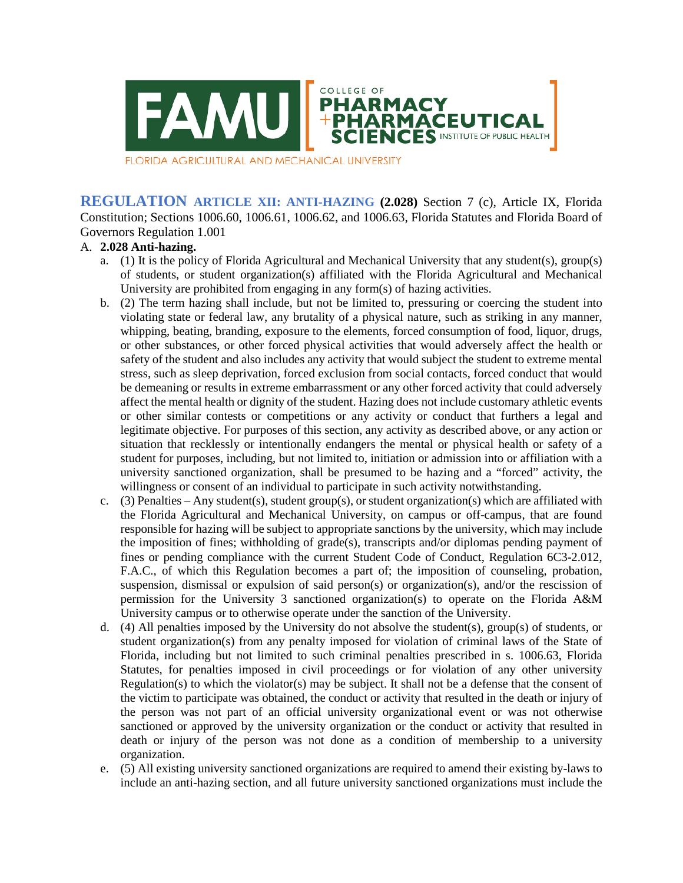

FLORIDA AGRICULTURAL AND MECHANICAL UNIVERSITY

**REGULATION ARTICLE XII: ANTI-HAZING (2.028)** Section 7 (c), Article IX, Florida Constitution; Sections 1006.60, 1006.61, 1006.62, and 1006.63, Florida Statutes and Florida Board of Governors Regulation 1.001

## A. **2.028 Anti-hazing.**

- a. (1) It is the policy of Florida Agricultural and Mechanical University that any student(s), group(s) of students, or student organization(s) affiliated with the Florida Agricultural and Mechanical University are prohibited from engaging in any form(s) of hazing activities.
- b. (2) The term hazing shall include, but not be limited to, pressuring or coercing the student into violating state or federal law, any brutality of a physical nature, such as striking in any manner, whipping, beating, branding, exposure to the elements, forced consumption of food, liquor, drugs, or other substances, or other forced physical activities that would adversely affect the health or safety of the student and also includes any activity that would subject the student to extreme mental stress, such as sleep deprivation, forced exclusion from social contacts, forced conduct that would be demeaning or results in extreme embarrassment or any other forced activity that could adversely affect the mental health or dignity of the student. Hazing does not include customary athletic events or other similar contests or competitions or any activity or conduct that furthers a legal and legitimate objective. For purposes of this section, any activity as described above, or any action or situation that recklessly or intentionally endangers the mental or physical health or safety of a student for purposes, including, but not limited to, initiation or admission into or affiliation with a university sanctioned organization, shall be presumed to be hazing and a "forced" activity, the willingness or consent of an individual to participate in such activity notwithstanding.
- c. (3) Penalties Any student(s), student group(s), or student organization(s) which are affiliated with the Florida Agricultural and Mechanical University, on campus or off-campus, that are found responsible for hazing will be subject to appropriate sanctions by the university, which may include the imposition of fines; withholding of grade(s), transcripts and/or diplomas pending payment of fines or pending compliance with the current Student Code of Conduct, Regulation 6C3-2.012, F.A.C., of which this Regulation becomes a part of; the imposition of counseling, probation, suspension, dismissal or expulsion of said person(s) or organization(s), and/or the rescission of permission for the University 3 sanctioned organization(s) to operate on the Florida A&M University campus or to otherwise operate under the sanction of the University.
- d. (4) All penalties imposed by the University do not absolve the student(s), group(s) of students, or student organization(s) from any penalty imposed for violation of criminal laws of the State of Florida, including but not limited to such criminal penalties prescribed in s. 1006.63, Florida Statutes, for penalties imposed in civil proceedings or for violation of any other university Regulation(s) to which the violator(s) may be subject. It shall not be a defense that the consent of the victim to participate was obtained, the conduct or activity that resulted in the death or injury of the person was not part of an official university organizational event or was not otherwise sanctioned or approved by the university organization or the conduct or activity that resulted in death or injury of the person was not done as a condition of membership to a university organization.
- e. (5) All existing university sanctioned organizations are required to amend their existing by-laws to include an anti-hazing section, and all future university sanctioned organizations must include the